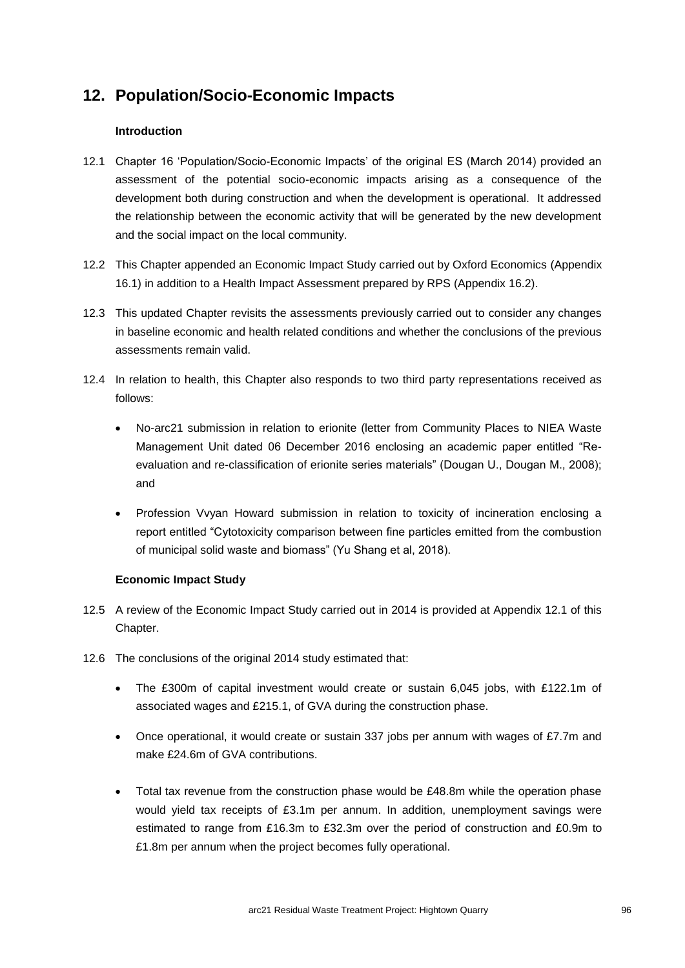# **12. Population/Socio-Economic Impacts**

## **Introduction**

- 12.1 Chapter 16 'Population/Socio-Economic Impacts' of the original ES (March 2014) provided an assessment of the potential socio-economic impacts arising as a consequence of the development both during construction and when the development is operational. It addressed the relationship between the economic activity that will be generated by the new development and the social impact on the local community.
- 12.2 This Chapter appended an Economic Impact Study carried out by Oxford Economics (Appendix 16.1) in addition to a Health Impact Assessment prepared by RPS (Appendix 16.2).
- 12.3 This updated Chapter revisits the assessments previously carried out to consider any changes in baseline economic and health related conditions and whether the conclusions of the previous assessments remain valid.
- 12.4 In relation to health, this Chapter also responds to two third party representations received as follows:
	- No-arc21 submission in relation to erionite (letter from Community Places to NIEA Waste Management Unit dated 06 December 2016 enclosing an academic paper entitled "Reevaluation and re-classification of erionite series materials" (Dougan U., Dougan M., 2008); and
	- Profession Vvyan Howard submission in relation to toxicity of incineration enclosing a report entitled "Cytotoxicity comparison between fine particles emitted from the combustion of municipal solid waste and biomass" (Yu Shang et al, 2018).

## **Economic Impact Study**

- 12.5 A review of the Economic Impact Study carried out in 2014 is provided at Appendix 12.1 of this Chapter.
- 12.6 The conclusions of the original 2014 study estimated that:
	- The £300m of capital investment would create or sustain 6,045 jobs, with £122.1m of associated wages and £215.1, of GVA during the construction phase.
	- Once operational, it would create or sustain 337 jobs per annum with wages of £7.7m and make £24.6m of GVA contributions.
	- Total tax revenue from the construction phase would be £48.8m while the operation phase would yield tax receipts of £3.1m per annum. In addition, unemployment savings were estimated to range from £16.3m to £32.3m over the period of construction and £0.9m to £1.8m per annum when the project becomes fully operational.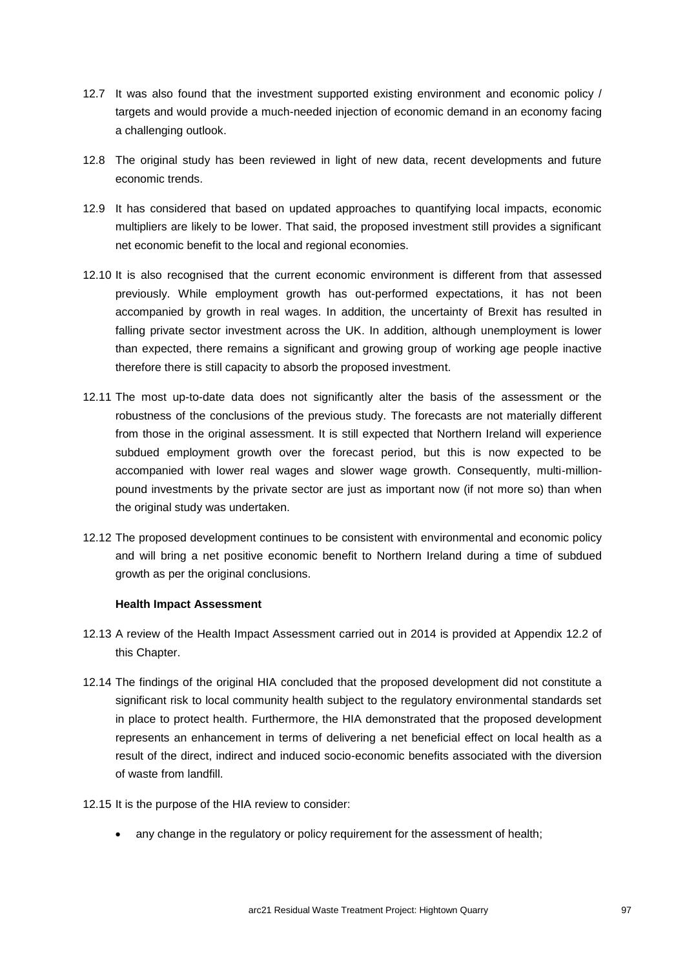- 12.7 It was also found that the investment supported existing environment and economic policy / targets and would provide a much-needed injection of economic demand in an economy facing a challenging outlook.
- 12.8 The original study has been reviewed in light of new data, recent developments and future economic trends.
- 12.9 It has considered that based on updated approaches to quantifying local impacts, economic multipliers are likely to be lower. That said, the proposed investment still provides a significant net economic benefit to the local and regional economies.
- 12.10 It is also recognised that the current economic environment is different from that assessed previously. While employment growth has out-performed expectations, it has not been accompanied by growth in real wages. In addition, the uncertainty of Brexit has resulted in falling private sector investment across the UK. In addition, although unemployment is lower than expected, there remains a significant and growing group of working age people inactive therefore there is still capacity to absorb the proposed investment.
- 12.11 The most up-to-date data does not significantly alter the basis of the assessment or the robustness of the conclusions of the previous study. The forecasts are not materially different from those in the original assessment. It is still expected that Northern Ireland will experience subdued employment growth over the forecast period, but this is now expected to be accompanied with lower real wages and slower wage growth. Consequently, multi-millionpound investments by the private sector are just as important now (if not more so) than when the original study was undertaken.
- 12.12 The proposed development continues to be consistent with environmental and economic policy and will bring a net positive economic benefit to Northern Ireland during a time of subdued growth as per the original conclusions.

### **Health Impact Assessment**

- 12.13 A review of the Health Impact Assessment carried out in 2014 is provided at Appendix 12.2 of this Chapter.
- 12.14 The findings of the original HIA concluded that the proposed development did not constitute a significant risk to local community health subject to the regulatory environmental standards set in place to protect health. Furthermore, the HIA demonstrated that the proposed development represents an enhancement in terms of delivering a net beneficial effect on local health as a result of the direct, indirect and induced socio-economic benefits associated with the diversion of waste from landfill.
- 12.15 It is the purpose of the HIA review to consider:
	- any change in the regulatory or policy requirement for the assessment of health;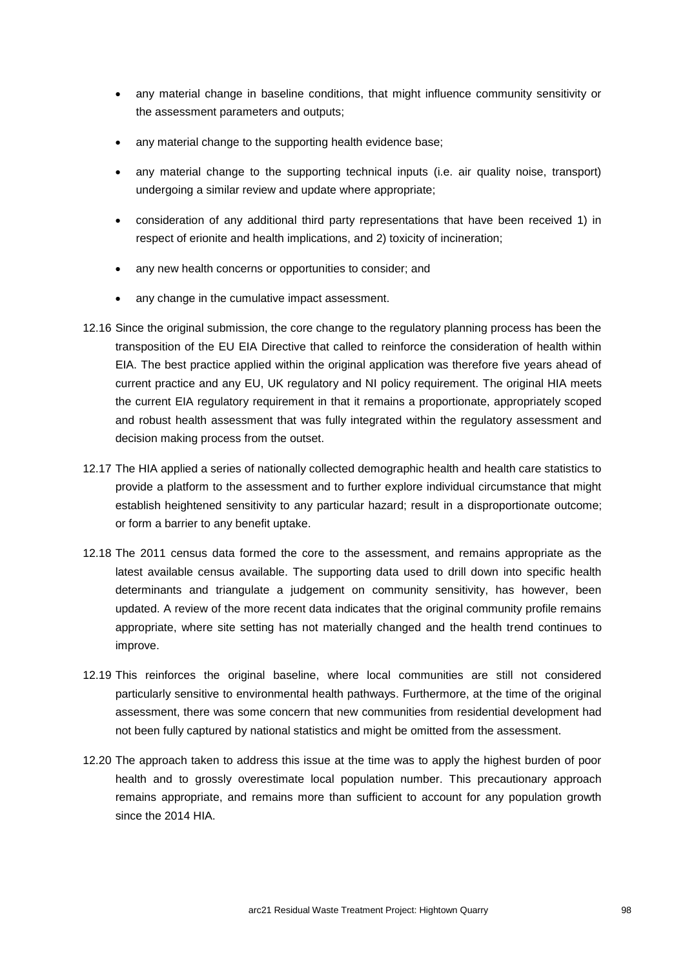- any material change in baseline conditions, that might influence community sensitivity or the assessment parameters and outputs;
- any material change to the supporting health evidence base;
- any material change to the supporting technical inputs (i.e. air quality noise, transport) undergoing a similar review and update where appropriate;
- consideration of any additional third party representations that have been received 1) in respect of erionite and health implications, and 2) toxicity of incineration;
- any new health concerns or opportunities to consider; and
- any change in the cumulative impact assessment.
- 12.16 Since the original submission, the core change to the regulatory planning process has been the transposition of the EU EIA Directive that called to reinforce the consideration of health within EIA. The best practice applied within the original application was therefore five years ahead of current practice and any EU, UK regulatory and NI policy requirement. The original HIA meets the current EIA regulatory requirement in that it remains a proportionate, appropriately scoped and robust health assessment that was fully integrated within the regulatory assessment and decision making process from the outset.
- 12.17 The HIA applied a series of nationally collected demographic health and health care statistics to provide a platform to the assessment and to further explore individual circumstance that might establish heightened sensitivity to any particular hazard; result in a disproportionate outcome; or form a barrier to any benefit uptake.
- 12.18 The 2011 census data formed the core to the assessment, and remains appropriate as the latest available census available. The supporting data used to drill down into specific health determinants and triangulate a judgement on community sensitivity, has however, been updated. A review of the more recent data indicates that the original community profile remains appropriate, where site setting has not materially changed and the health trend continues to improve.
- 12.19 This reinforces the original baseline, where local communities are still not considered particularly sensitive to environmental health pathways. Furthermore, at the time of the original assessment, there was some concern that new communities from residential development had not been fully captured by national statistics and might be omitted from the assessment.
- 12.20 The approach taken to address this issue at the time was to apply the highest burden of poor health and to grossly overestimate local population number. This precautionary approach remains appropriate, and remains more than sufficient to account for any population growth since the 2014 HIA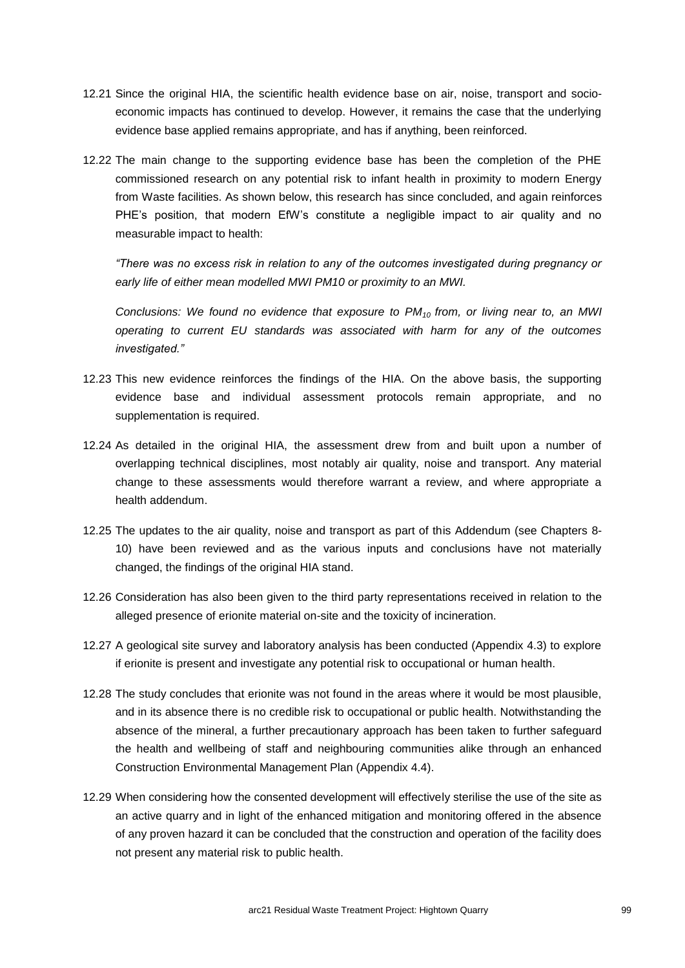- 12.21 Since the original HIA, the scientific health evidence base on air, noise, transport and socioeconomic impacts has continued to develop. However, it remains the case that the underlying evidence base applied remains appropriate, and has if anything, been reinforced.
- 12.22 The main change to the supporting evidence base has been the completion of the PHE commissioned research on any potential risk to infant health in proximity to modern Energy from Waste facilities. As shown below, this research has since concluded, and again reinforces PHE's position, that modern EfW's constitute a negligible impact to air quality and no measurable impact to health:

*"There was no excess risk in relation to any of the outcomes investigated during pregnancy or early life of either mean modelled MWI PM10 or proximity to an MWI.*

*Conclusions: We found no evidence that exposure to PM10 from, or living near to, an MWI operating to current EU standards was associated with harm for any of the outcomes investigated."* 

- 12.23 This new evidence reinforces the findings of the HIA. On the above basis, the supporting evidence base and individual assessment protocols remain appropriate, and no supplementation is required.
- 12.24 As detailed in the original HIA, the assessment drew from and built upon a number of overlapping technical disciplines, most notably air quality, noise and transport. Any material change to these assessments would therefore warrant a review, and where appropriate a health addendum.
- 12.25 The updates to the air quality, noise and transport as part of this Addendum (see Chapters 8- 10) have been reviewed and as the various inputs and conclusions have not materially changed, the findings of the original HIA stand.
- 12.26 Consideration has also been given to the third party representations received in relation to the alleged presence of erionite material on-site and the toxicity of incineration.
- 12.27 A geological site survey and laboratory analysis has been conducted (Appendix 4.3) to explore if erionite is present and investigate any potential risk to occupational or human health.
- 12.28 The study concludes that erionite was not found in the areas where it would be most plausible, and in its absence there is no credible risk to occupational or public health. Notwithstanding the absence of the mineral, a further precautionary approach has been taken to further safeguard the health and wellbeing of staff and neighbouring communities alike through an enhanced Construction Environmental Management Plan (Appendix 4.4).
- 12.29 When considering how the consented development will effectively sterilise the use of the site as an active quarry and in light of the enhanced mitigation and monitoring offered in the absence of any proven hazard it can be concluded that the construction and operation of the facility does not present any material risk to public health.